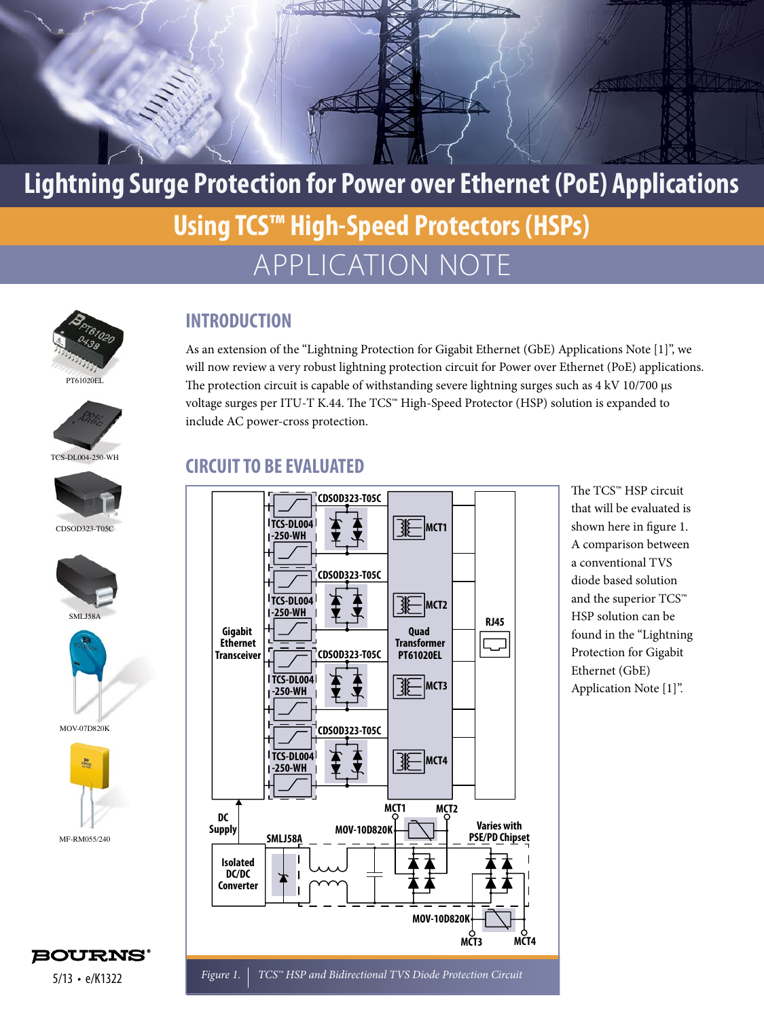

## APPLICATION NOTE **Lightning Surge Protection for Power over Ethernet (PoE) Applications Using TCS™ High-Speed Protectors (HSPs)**







CDSOD323-T05C





MOV-07D820K



#### **INTRODUCTION**

As an extension of the "Lightning Protection for Gigabit Ethernet (GbE) Applications Note [1]", we will now review a very robust lightning protection circuit for Power over Ethernet (PoE) applications. The protection circuit is capable of withstanding severe lightning surges such as 4 kV 10/700 μs voltage surges per ITU-T K.44. The TCS™ High-Speed Protector (HSP) solution is expanded to include AC power-cross protection.

#### **CIRCUIT TO BE EVALUATED**



The TCS™ HSP circuit that will be evaluated is shown here in figure 1. A comparison between a conventional TVS diode based solution and the superior TCS™ HSP solution can be found in the "Lightning Protection for Gigabit Ethernet (GbE) Application Note [1]".



*Figure 1. TCS™ HSP and Bidirectional TVS Diode Protection Circuit*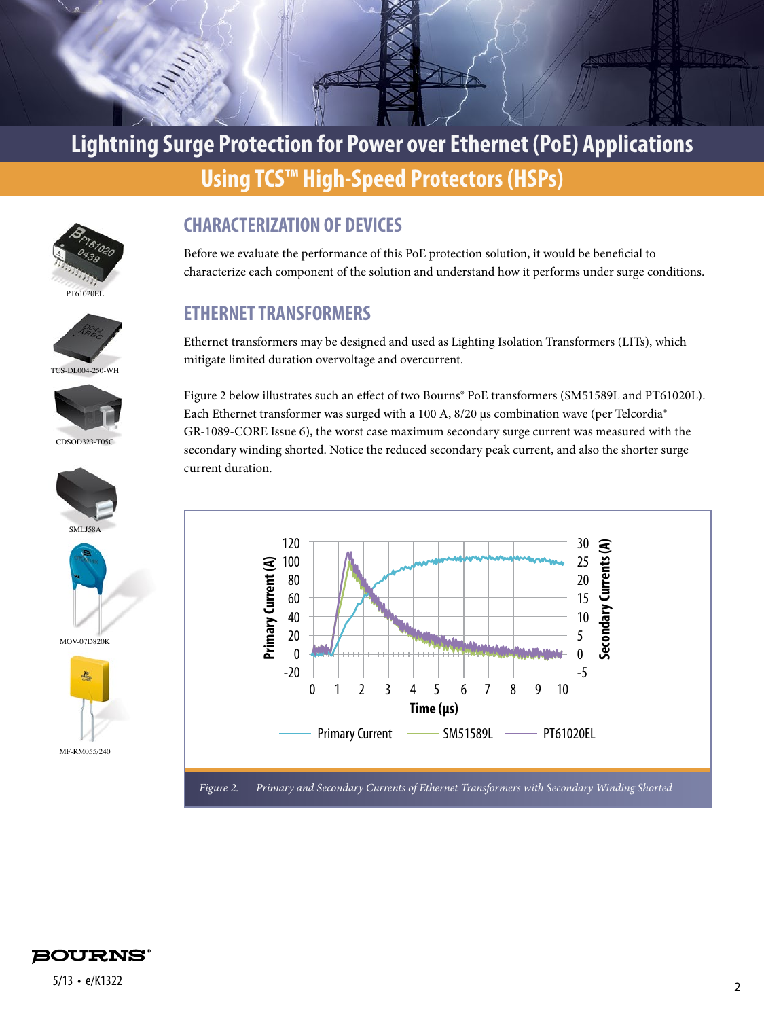







CDSOD323-T05C





MOV-07D820K



#### **CHARACTERIZATION OF DEVICES**

Before we evaluate the performance of this PoE protection solution, it would be beneficial to characterize each component of the solution and understand how it performs under surge conditions.

#### **ETHERNET TRANSFORMERS**

Ethernet transformers may be designed and used as Lighting Isolation Transformers (LITs), which mitigate limited duration overvoltage and overcurrent.

Figure 2 below illustrates such an effect of two Bourns® PoE transformers (SM51589L and PT61020L). Each Ethernet transformer was surged with a 100 A, 8/20 μs combination wave (per Telcordia® GR-1089-CORE Issue 6), the worst case maximum secondary surge current was measured with the secondary winding shorted. Notice the reduced secondary peak current, and also the shorter surge current duration.



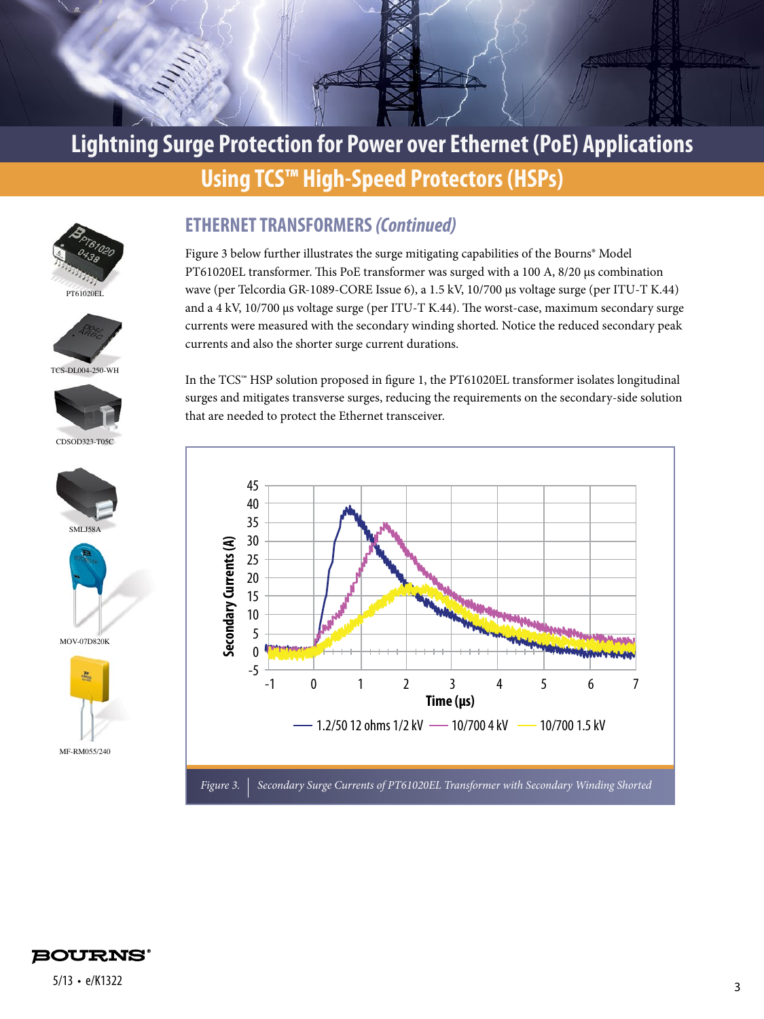





TCS-DL004-250-WH



CDSOD323-T05C





MOV-07D820K



#### **ETHERNET TRANSFORMERS** *(Continued)*

Figure 3 below further illustrates the surge mitigating capabilities of the Bourns® Model PT61020EL transformer. This PoE transformer was surged with a 100 A, 8/20 μs combination wave (per Telcordia GR-1089-CORE Issue 6), a 1.5 kV, 10/700 μs voltage surge (per ITU-T K.44) and a 4 kV, 10/700 μs voltage surge (per ITU-T K.44). The worst-case, maximum secondary surge currents were measured with the secondary winding shorted. Notice the reduced secondary peak currents and also the shorter surge current durations.

In the TCS™ HSP solution proposed in figure 1, the PT61020EL transformer isolates longitudinal surges and mitigates transverse surges, reducing the requirements on the secondary-side solution that are needed to protect the Ethernet transceiver.



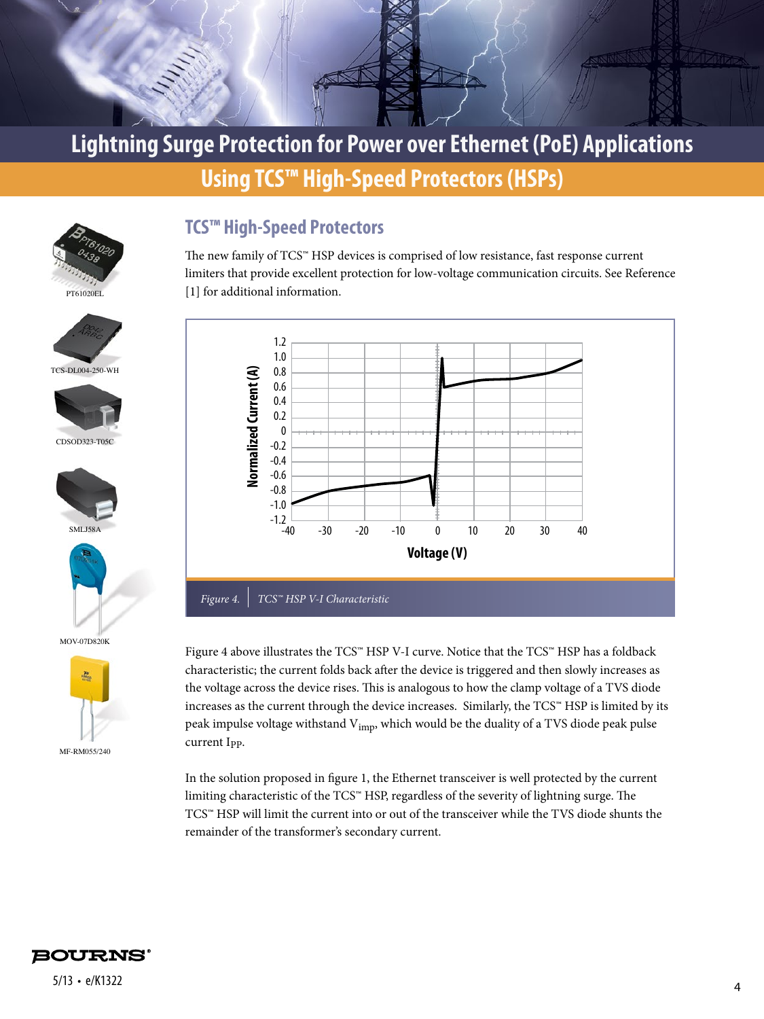



TCS-DL004-250-WH

CDSOD323-T05C

**SML158** 

MOV-07D820K

 $\mathbf{a}$ 

MF-RM055/240

#### **TCS™ High-Speed Protectors**

The new family of TCS™ HSP devices is comprised of low resistance, fast response current limiters that provide excellent protection for low-voltage communication circuits. See Reference [1] for additional information.



Figure 4 above illustrates the TCS™ HSP V-I curve. Notice that the TCS™ HSP has a foldback characteristic; the current folds back after the device is triggered and then slowly increases as the voltage across the device rises. This is analogous to how the clamp voltage of a TVS diode increases as the current through the device increases. Similarly, the TCS™ HSP is limited by its peak impulse voltage withstand V<sub>imp</sub>, which would be the duality of a TVS diode peak pulse current I<sub>PP</sub>.

In the solution proposed in figure 1, the Ethernet transceiver is well protected by the current limiting characteristic of the TCS™ HSP, regardless of the severity of lightning surge. The TCS™ HSP will limit the current into or out of the transceiver while the TVS diode shunts the remainder of the transformer's secondary current.

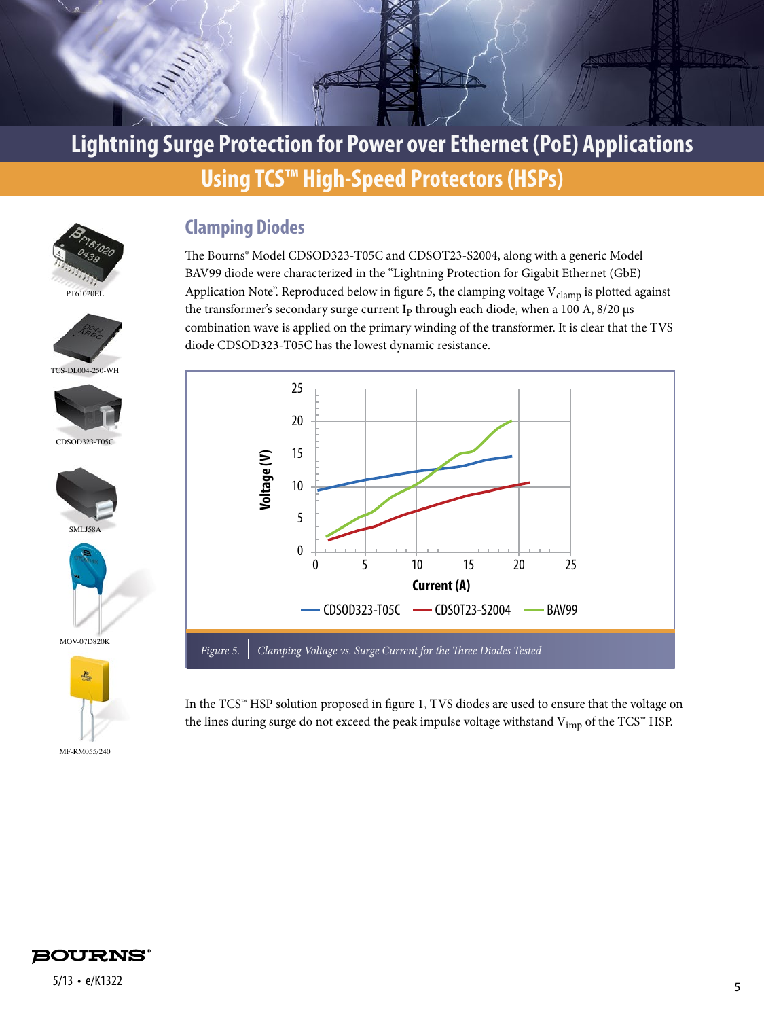



**Clamping Diodes**

The Bourns® Model CDSOD323-T05C and CDSOT23-S2004, along with a generic Model BAV99 diode were characterized in the "Lightning Protection for Gigabit Ethernet (GbE) Application Note". Reproduced below in figure 5, the clamping voltage V<sub>clamp</sub> is plotted against the transformer's secondary surge current I<sub>P</sub> through each diode, when a 100 A,  $8/20 \,\mu s$ combination wave is applied on the primary winding of the transformer. It is clear that the TVS diode CDSOD323-T05C has the lowest dynamic resistance.



In the TCS™ HSP solution proposed in figure 1, TVS diodes are used to ensure that the voltage on the lines during surge do not exceed the peak impulse voltage withstand  $V_{\text{imp}}$  of the TCS™ HSP.













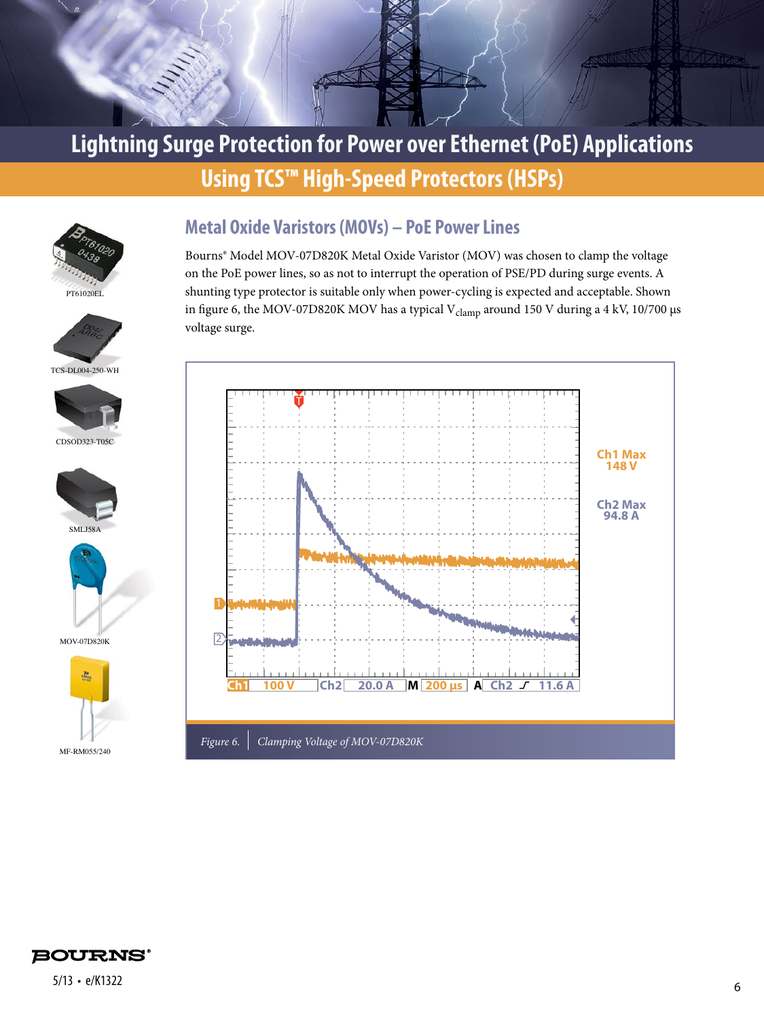





TCS-DL004-250-WH









MOV-07D820K



#### **Metal Oxide Varistors (MOVs) – PoE Power Lines**

Bourns® Model MOV-07D820K Metal Oxide Varistor (MOV) was chosen to clamp the voltage on the PoE power lines, so as not to interrupt the operation of PSE/PD during surge events. A shunting type protector is suitable only when power-cycling is expected and acceptable. Shown in figure 6, the MOV-07D820K MOV has a typical V<sub>clamp</sub> around 150 V during a 4 kV, 10/700 μs voltage surge.



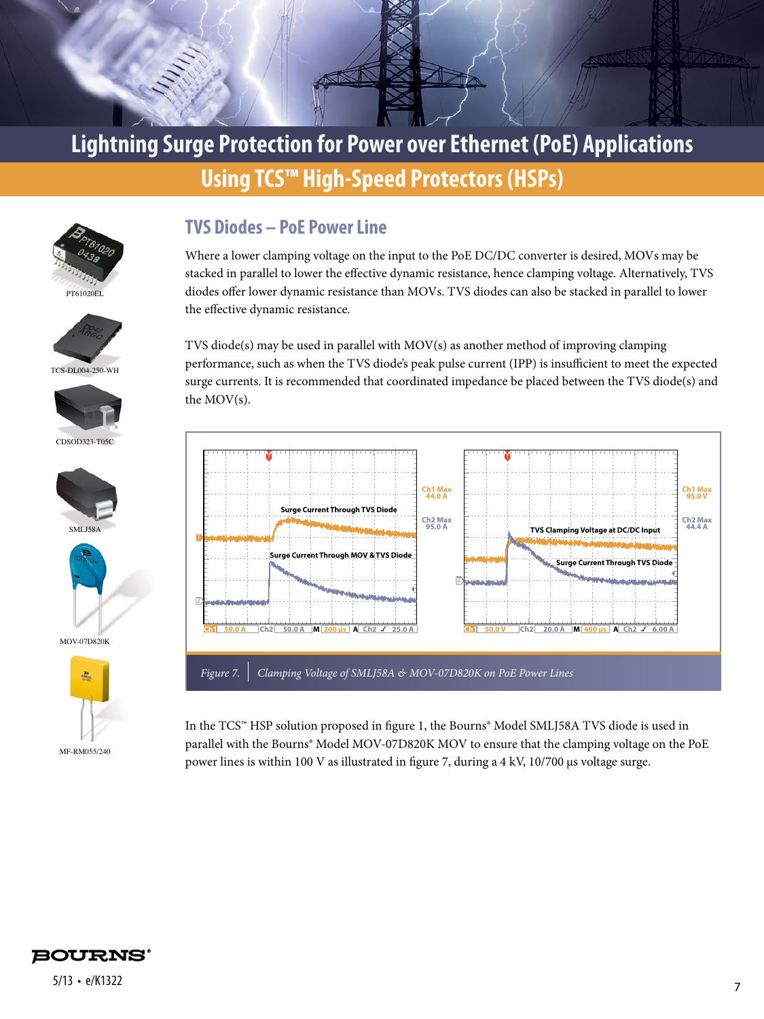





TCS-DL004-250-WH



CDSOD323-T05C











#### **TVS Diodes – PoE Power Line**

Where a lower clamping voltage on the input to the PoE DC/DC converter is desired, MOVs may be stacked in parallel to lower the effective dynamic resistance, hence clamping voltage. Alternatively, TVS diodes offer lower dynamic resistance than MOVs. TVS diodes can also be stacked in parallel to lower the effective dynamic resistance.

TVS diode(s) may be used in parallel with MOV(s) as another method of improving clamping performance, such as when the TVS diode's peak pulse current (IPP) is insufficient to meet the expected surge currents. It is recommended that coordinated impedance be placed between the TVS diode(s) and the MOV(s).



In the TCS™ HSP solution proposed in figure 1, the Bourns® Model SMLJ58A TVS diode is used in parallel with the Bourns® Model MOV-07D820K MOV to ensure that the clamping voltage on the PoE power lines is within 100 V as illustrated in figure 7, during a 4 kV, 10/700 μs voltage surge.

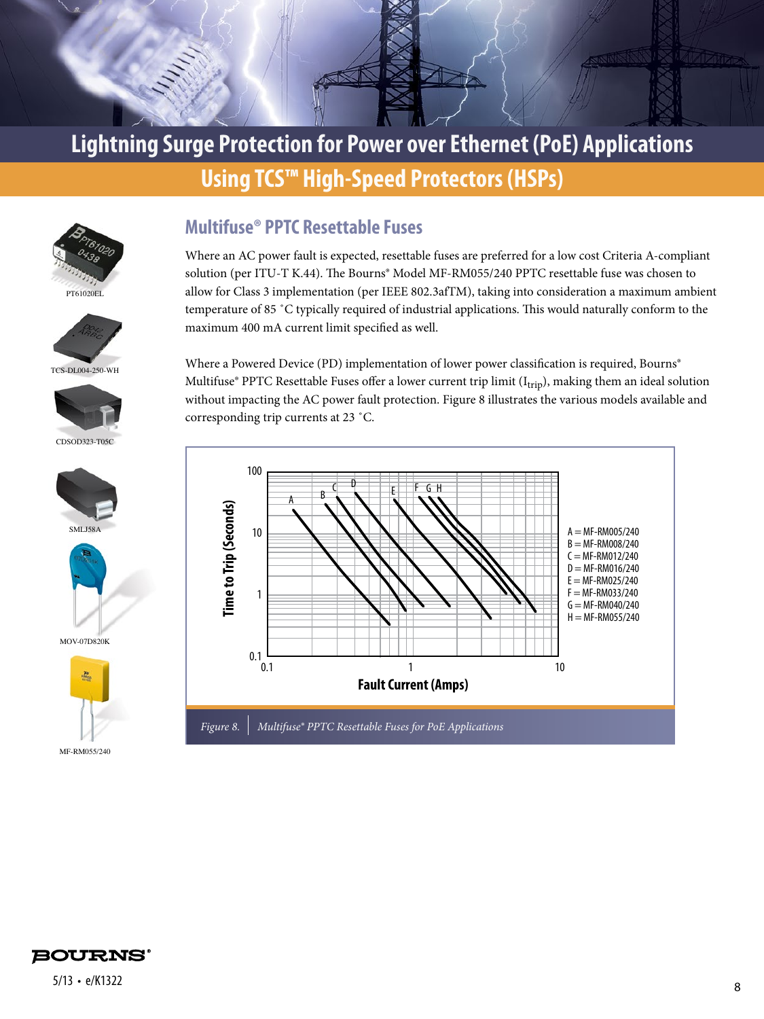

## **Lightning Surge Protection for Power over Ethernet (PoE) Applications**

## **Using TCS™ High-Speed Protectors (HSPs)**





TCS-DL004-250-WH



CDSOD323-T05C





MOV-07D820K



#### **Multifuse® PPTC Resettable Fuses**

Where an AC power fault is expected, resettable fuses are preferred for a low cost Criteria A-compliant solution (per ITU-T K.44). The Bourns® Model MF-RM055/240 PPTC resettable fuse was chosen to allow for Class 3 implementation (per IEEE 802.3afTM), taking into consideration a maximum ambient temperature of 85 ˚C typically required of industrial applications. This would naturally conform to the maximum 400 mA current limit specified as well.

Where a Powered Device (PD) implementation of lower power classification is required, Bourns® Multifuse® PPTC Resettable Fuses offer a lower current trip limit (I<sub>trip</sub>), making them an ideal solution without impacting the AC power fault protection. Figure 8 illustrates the various models available and corresponding trip currents at 23 ˚C.



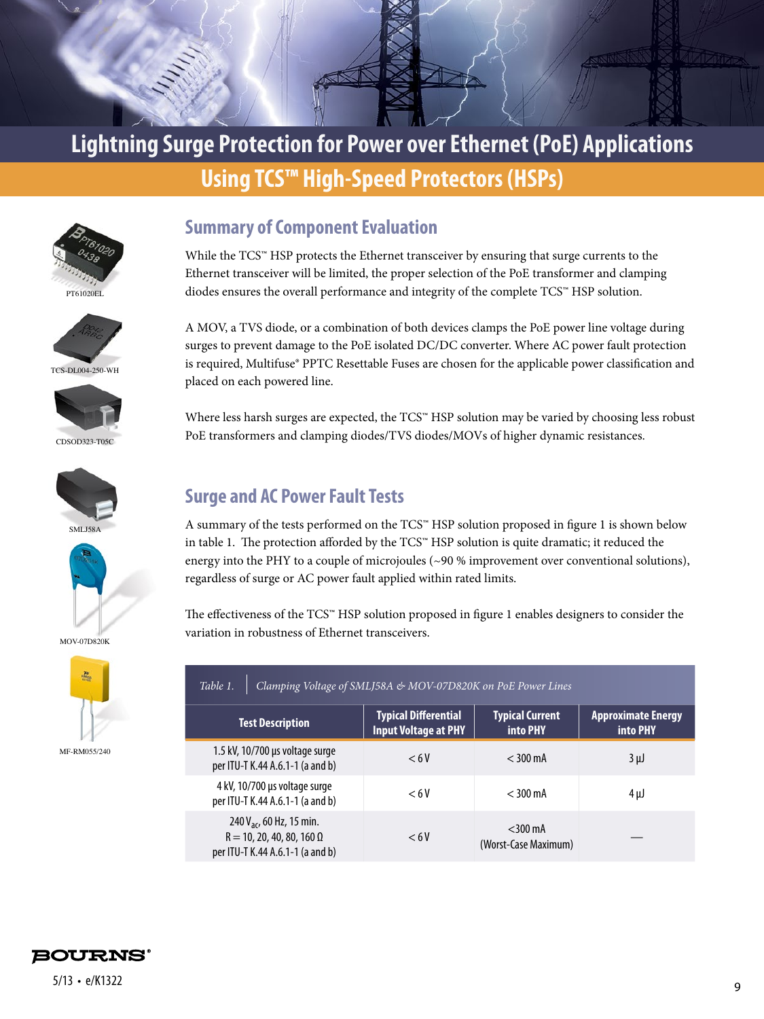





TCS-DL004-250-WH



CDSOD323-T05C





MOV-07D820K



**Summary of Component Evaluation**

While the TCS™ HSP protects the Ethernet transceiver by ensuring that surge currents to the Ethernet transceiver will be limited, the proper selection of the PoE transformer and clamping diodes ensures the overall performance and integrity of the complete TCS™ HSP solution.

A MOV, a TVS diode, or a combination of both devices clamps the PoE power line voltage during surges to prevent damage to the PoE isolated DC/DC converter. Where AC power fault protection is required, Multifuse® PPTC Resettable Fuses are chosen for the applicable power classification and placed on each powered line.

Where less harsh surges are expected, the TCS™ HSP solution may be varied by choosing less robust PoE transformers and clamping diodes/TVS diodes/MOVs of higher dynamic resistances.

#### **Surge and AC Power Fault Tests**

A summary of the tests performed on the TCS™ HSP solution proposed in figure 1 is shown below in table 1. The protection afforded by the TCS™ HSP solution is quite dramatic; it reduced the energy into the PHY to a couple of microjoules (~90 % improvement over conventional solutions), regardless of surge or AC power fault applied within rated limits.

The effectiveness of the TCS™ HSP solution proposed in figure 1 enables designers to consider the variation in robustness of Ethernet transceivers.

| Clamping Voltage of SMLJ58A & MOV-07D820K on PoE Power Lines<br>Table 1.                                     |                                                            |                                    |                                              |  |  |
|--------------------------------------------------------------------------------------------------------------|------------------------------------------------------------|------------------------------------|----------------------------------------------|--|--|
| <b>Test Description</b>                                                                                      | <b>Typical Differential</b><br><b>Input Voltage at PHY</b> | <b>Typical Current</b><br>into PHY | <b>Approximate Energy</b><br><b>into PHY</b> |  |  |
| 1.5 kV, 10/700 µs voltage surge<br>per ITU-T K.44 A.6.1-1 (a and b)                                          | < 6V                                                       | $<$ 300 mA                         | $3 \mu$                                      |  |  |
| 4 kV, 10/700 µs voltage surge<br>per ITU-T K.44 A.6.1-1 (a and b)                                            | < 6V                                                       | $<$ 300 mA                         | 4μJ                                          |  |  |
| 240 V <sub>ac</sub> , 60 Hz, 15 min.<br>$R = 10, 20, 40, 80, 160 \Omega$<br>per ITU-T K.44 A.6.1-1 (a and b) | < 6V                                                       | $<$ 300 mA<br>(Worst-Case Maximum) |                                              |  |  |

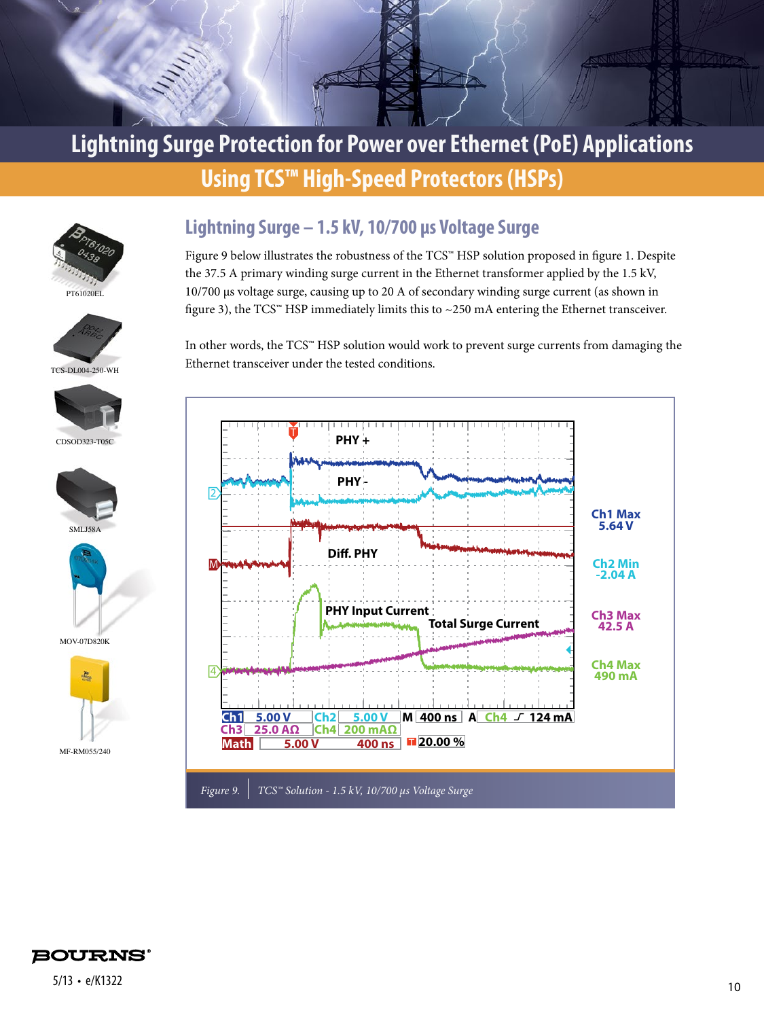



TCS-DL004-250-WH









MOV-07D820K



#### **Lightning Surge – 1.5 kV, 10/700 μs Voltage Surge**

Figure 9 below illustrates the robustness of the TCS™ HSP solution proposed in figure 1. Despite the 37.5 A primary winding surge current in the Ethernet transformer applied by the 1.5 kV, 10/700 μs voltage surge, causing up to 20 A of secondary winding surge current (as shown in figure 3), the TCS™ HSP immediately limits this to  $\sim$  250 mA entering the Ethernet transceiver.

In other words, the TCS™ HSP solution would work to prevent surge currents from damaging the Ethernet transceiver under the tested conditions.



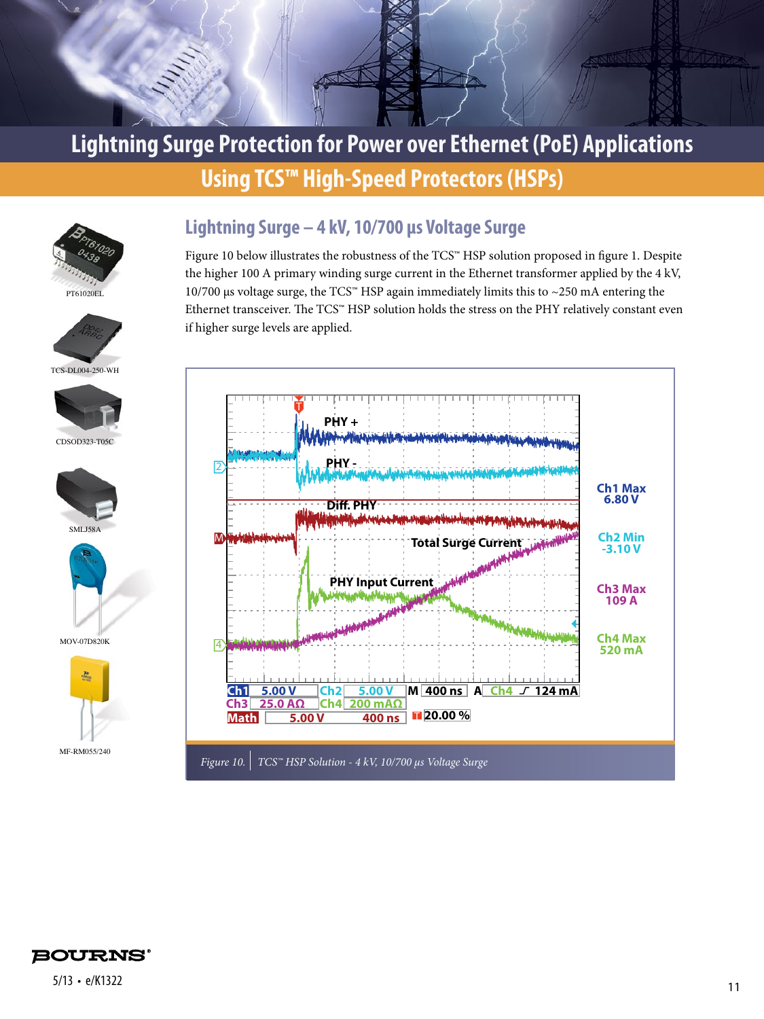





Figure 10 below illustrates the robustness of the TCS™ HSP solution proposed in figure 1. Despite the higher 100 A primary winding surge current in the Ethernet transformer applied by the 4 kV, 10/700 μs voltage surge, the TCS<sup>™</sup> HSP again immediately limits this to ~250 mA entering the Ethernet transceiver. The TCS™ HSP solution holds the stress on the PHY relatively constant even if higher surge levels are applied.





TCS-DL004-250-WH



CDSOD323-T05C









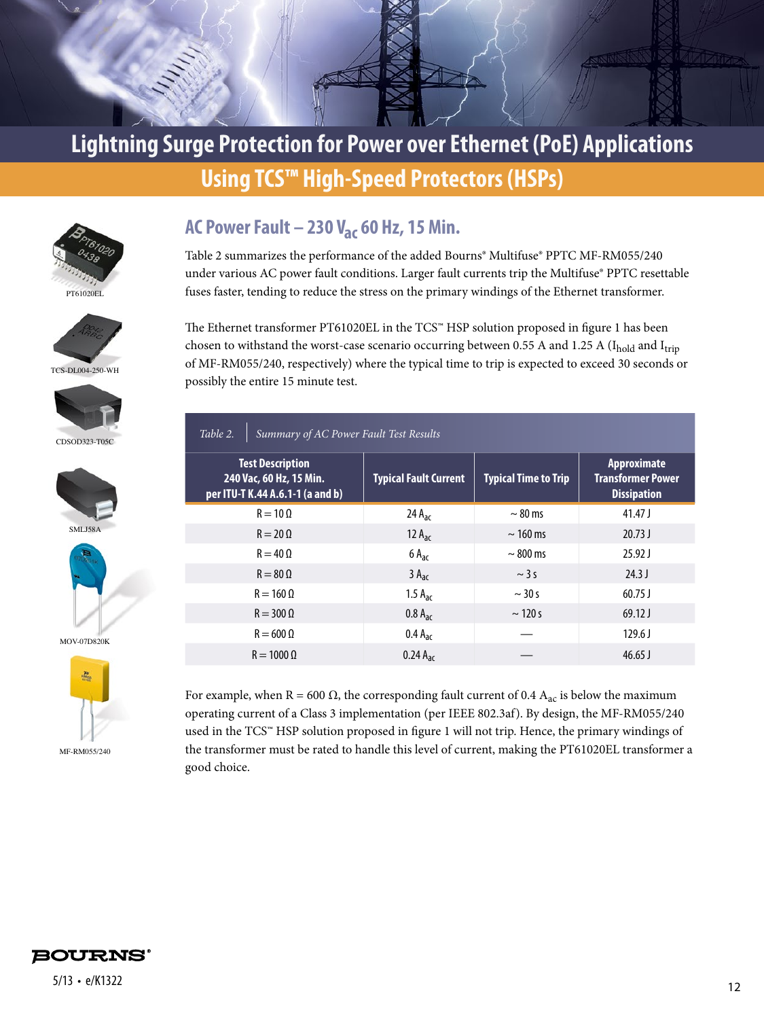





TCS-DL004-250-WH



CDSOD323-T05C





MOV-07D820K



#### **AC Power Fault – 230 Vac 60 Hz, 15 Min.**

Table 2 summarizes the performance of the added Bourns® Multifuse® PPTC MF-RM055/240 under various AC power fault conditions. Larger fault currents trip the Multifuse® PPTC resettable fuses faster, tending to reduce the stress on the primary windings of the Ethernet transformer.

The Ethernet transformer PT61020EL in the TCS™ HSP solution proposed in figure 1 has been chosen to withstand the worst-case scenario occurring between 0.55 A and 1.25 A (Ibold and Itrip of MF-RM055/240, respectively) where the typical time to trip is expected to exceed 30 seconds or possibly the entire 15 minute test.

| Summary of AC Power Fault Test Results<br>Table 2.                                     |                              |                             |                                                                      |  |  |
|----------------------------------------------------------------------------------------|------------------------------|-----------------------------|----------------------------------------------------------------------|--|--|
| <b>Test Description</b><br>240 Vac, 60 Hz, 15 Min.<br>per ITU-T K.44 A.6.1-1 (a and b) | <b>Typical Fault Current</b> | <b>Typical Time to Trip</b> | <b>Approximate</b><br><b>Transformer Power</b><br><b>Dissipation</b> |  |  |
| $R = 10 \Omega$                                                                        | 24 A <sub>ac</sub>           | $\sim$ 80 ms                | $41.47$ J                                                            |  |  |
| $R = 20 \Omega$                                                                        | 12 $A_{ac}$                  | $\sim$ 160 ms               | 20.73J                                                               |  |  |
| $R = 40 \Omega$                                                                        | $6A_{ac}$                    | $\sim$ 800 ms               | $25.92$ J                                                            |  |  |
| $R = 80 \Omega$                                                                        | $3A_{ac}$                    | $\sim$ 3 s                  | $24.3$ J                                                             |  |  |
| $R = 160 \Omega$                                                                       | 1.5 $A_{ac}$                 | $\sim$ 30 s                 | $60.75$ J                                                            |  |  |
| $R = 300 \Omega$                                                                       | $0.8 A_{ac}$                 | $\sim$ 120 s                | $69.12$ J                                                            |  |  |
| $R = 600 \Omega$                                                                       | $0.4 A_{\text{ac}}$          |                             | $129.6$ J                                                            |  |  |
| $R = 10000$                                                                            | $0.24 A_{ac}$                |                             | $46.65$ J                                                            |  |  |

For example, when R = 600  $\Omega$ , the corresponding fault current of 0.4  $A_{ac}$  is below the maximum operating current of a Class 3 implementation (per IEEE 802.3af). By design, the MF-RM055/240 used in the TCS™ HSP solution proposed in figure 1 will not trip. Hence, the primary windings of the transformer must be rated to handle this level of current, making the PT61020EL transformer a good choice.

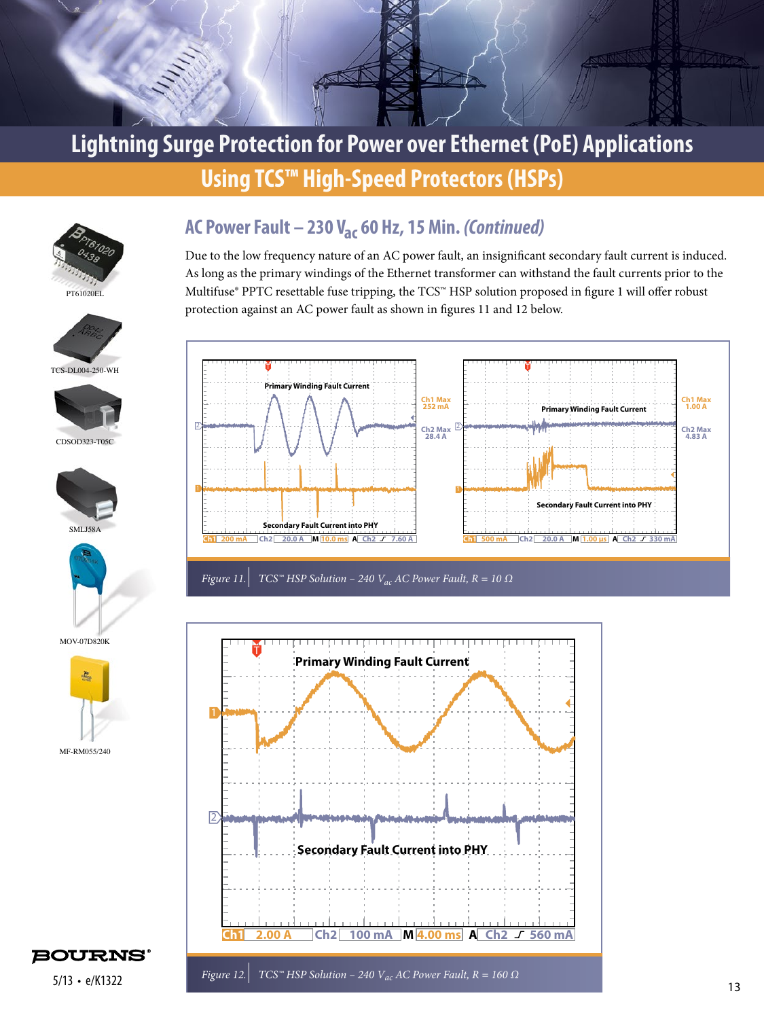















MOV-07D820K



## **AC Power Fault – 230 Vac 60 Hz, 15 Min.** *(Continued)*

Due to the low frequency nature of an AC power fault, an insignificant secondary fault current is induced. As long as the primary windings of the Ethernet transformer can withstand the fault currents prior to the Multifuse® PPTC resettable fuse tripping, the TCS™ HSP solution proposed in figure 1 will offer robust protection against an AC power fault as shown in figures 11 and 12 below.





**BOURNS®**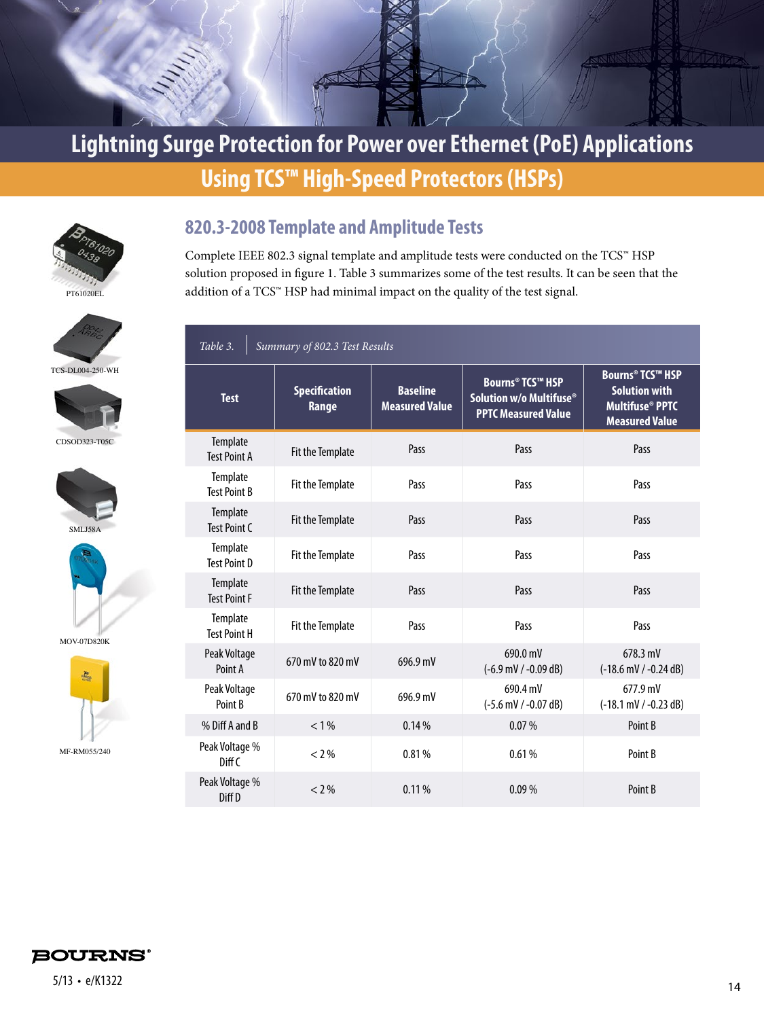



**820.3-2008 Template and Amplitude Tests**

Complete IEEE 802.3 signal template and amplitude tests were conducted on the TCS™ HSP solution proposed in figure 1. Table 3 summarizes some of the test results. It can be seen that the addition of a TCS™ HSP had minimal impact on the quality of the test signal.

# TCS-DL004-250-WH





CDSOD323-T05C





MOV-07D820K



#### *Table 3. Summary of 802.3 Test Results*

| <b>Test</b>                         | <b>Specification</b><br>Range | <b>Baseline</b><br><b>Measured Value</b> | <b>Bourns® TCS™ HSP</b><br>Solution w/o Multifuse®<br><b>PPTC Measured Value</b> | <b>Bourns<sup>®</sup> TCS™ HSP</b><br><b>Solution with</b><br><b>Multifuse<sup>®</sup> PPTC</b><br><b>Measured Value</b> |
|-------------------------------------|-------------------------------|------------------------------------------|----------------------------------------------------------------------------------|--------------------------------------------------------------------------------------------------------------------------|
| Template<br><b>Test Point A</b>     | Fit the Template              | Pass                                     | Pass                                                                             | Pass                                                                                                                     |
| Template<br><b>Test Point B</b>     | Fit the Template              | Pass                                     | Pass                                                                             | Pass                                                                                                                     |
| Template<br>Test Point C            | Fit the Template              | Pass                                     | Pass                                                                             | Pass                                                                                                                     |
| Template<br><b>Test Point D</b>     | Fit the Template              | Pass                                     | Pass                                                                             | Pass                                                                                                                     |
| Template<br><b>Test Point F</b>     | Fit the Template              | Pass                                     | Pass                                                                             | Pass                                                                                                                     |
| Template<br><b>Test Point H</b>     | Fit the Template              | Pass                                     | Pass                                                                             | Pass                                                                                                                     |
| Peak Voltage<br>Point A             | 670 mV to 820 mV              | 696.9 mV                                 | 690.0 mV<br>$(-6.9 \text{ mV} / -0.09 \text{ dB})$                               | 678.3 mV<br>$(-18.6$ mV / $-0.24$ dB)                                                                                    |
| Peak Voltage<br>Point B             | 670 mV to 820 mV              | 696.9 mV                                 | 690.4 mV<br>$(-5.6$ mV / -0.07 dB)                                               | 677.9 mV<br>$(-18.1 \text{ mV} / -0.23 \text{ dB})$                                                                      |
| % Diff A and B                      | $< 1\%$                       | 0.14%                                    | 0.07%                                                                            | Point B                                                                                                                  |
| Peak Voltage %<br>Diff <sub>C</sub> | $< 2\%$                       | 0.81%                                    | 0.61%                                                                            | Point B                                                                                                                  |
| Peak Voltage %<br>Diff D            | $< 2\%$                       | 0.11%                                    | 0.09%                                                                            | Point B                                                                                                                  |

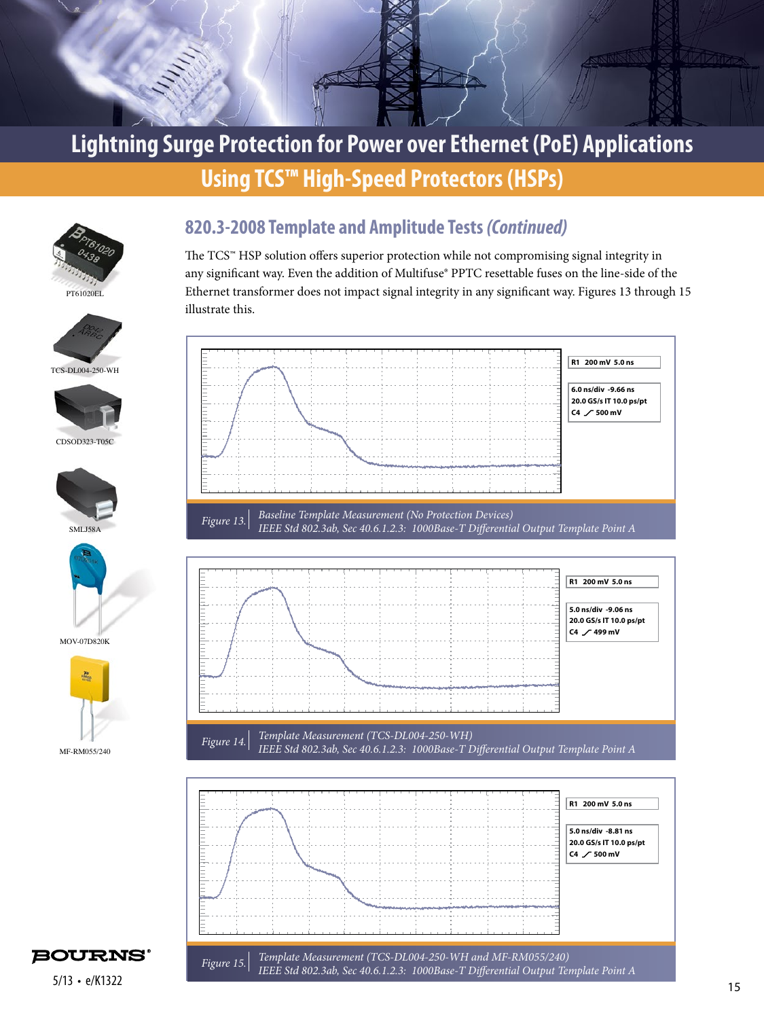





The TCS™ HSP solution offers superior protection while not compromising signal integrity in any significant way. Even the addition of Multifuse® PPTC resettable fuses on the line-side of the Ethernet transformer does not impact signal integrity in any significant way. Figures 13 through 15 illustrate this.





TCS-DL004-250-WH



CDSOD323-T05C





MOV-07D820K



*Figure 15. Template Measurement (TCS-DL004-250-WH and MF-RM055/240) IEEE Std 802.3ab, Sec 40.6.1.2.3: 1000Base-T Differential Output Template Point A*  **5.0 ns/div -8.81 ns 20.0 GS/s IT 10.0 ps/pt**  $C4$  / 500 mV



 $5/13 \cdot e/K1322$  and the contraction of the contraction of  $y$  and  $y$  and  $y$  and  $y$  and  $y$  and  $y$  and  $y$  and  $y$  and  $y$  and  $y$  and  $y$  and  $y$  and  $y$  and  $y$  and  $y$  and  $y$  and  $y$  and  $y$  and  $y$  and  $y$  and  $y$